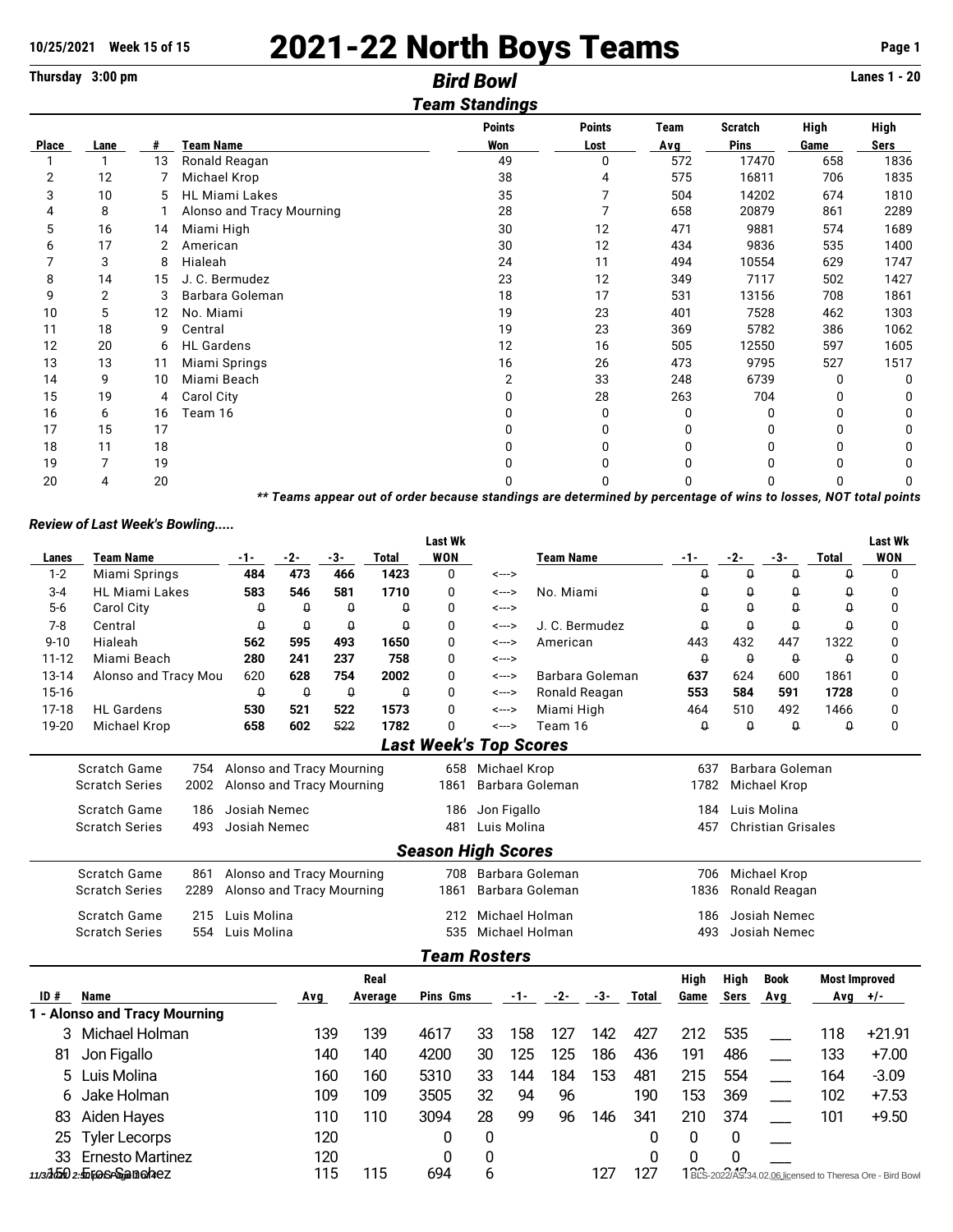# 10/25/2021 Week 15 of 15 2021-22 North Boys Teams **Page 1**

**Thursday 3:00 pm** *Bird Bowl* **Lanes 1 - 20**

### *Team Standings* **Points Points Team Scratch High High Place Lane # Team Name Won Lost Avg Pins Game Sers** 1 1 13 Ronald Reagan 49 0 572 17470 658 1836 2 12 7 Michael Krop 38 4 575 16811 706 1835 3 10 5 HL Miami Lakes 35 7 504 14202 674 1810 4 8 1 Alonso and Tracy Mourning 28 7 658 20879 861 5 16 14 Miami High 30 12 471 9881 574 1689 6 17 2 American 30 12 434 9836 535 1400 7 3 8 Hialeah 24 11 494 10554 629 1747 8 14 15 J. C. Bermudez 23 12 349 7117 502 1427 9 2 3 Barbara Goleman 18 17 531 13156 708 1861 10 5 12 No. Miami 19 23 401 7528 462 1303 11 18 9 Central 19 23 369 5782 386 1062 12 20 6 HL Gardens 12 16 505 12550 597 1605 13 13 11 Miami Springs 16 26 473 9795 527 1517 14 9 10 Miami Beach 2 33 248 6739 0 0 15 19 4 Carol City 0 28 263 704 0 0 16 6 16 Team 16 0 0 0 0 0 0 17 15 17 0 0 0 0 0 0 18 11 18 0 0 0 0 0 0 19 7 19 0 0 0 0 0 0 20 4 20 0 0 0 0 0 0

*\*\* Teams appear out of order because standings are determined by percentage of wins to losses, NOT total points*

### *Review of Last Week's Bowling.....*

|           |                                             |                           |                    |             |                    | <b>Last Wk</b>                |       |                  |                     |     |              |          |                    |                           |                      | <b>Last Wk</b>                                            |
|-----------|---------------------------------------------|---------------------------|--------------------|-------------|--------------------|-------------------------------|-------|------------------|---------------------|-----|--------------|----------|--------------------|---------------------------|----------------------|-----------------------------------------------------------|
| Lanes     | <b>Team Name</b>                            | -1-                       | $-2-$              | $-3-$       | <b>Total</b>       | <b>WON</b>                    |       |                  | <b>Team Name</b>    |     |              | -1-      | -2-                | -3-                       | <b>Total</b>         | <b>WON</b>                                                |
| $1 - 2$   | Miami Springs                               | 484                       | 473                | 466         | 1423               | 0                             |       | <--->            |                     |     |              | Û        | $\theta$           | $\theta$                  | $\theta$             | 0                                                         |
| $3 - 4$   | <b>HL Miami Lakes</b>                       | 583                       | 546                | 581         | 1710               | 0                             |       | <--->            | No. Miami           |     |              | Q        | 0                  | $\Omega$                  | $\theta$             | 0                                                         |
| $5-6$     | Carol City                                  | $\theta$                  | $\theta$           | $\theta$    | $\theta$           | 0                             |       | <--->            |                     |     |              | $\theta$ | $\Omega$           | $\theta$                  | $\Omega$             | $\mathbf 0$                                               |
| $7 - 8$   | Central<br>$\theta$<br>$\theta$<br>$\theta$ |                           |                    | $\theta$    | 0                  |                               | <---> | J. C. Bermudez   |                     |     | $\theta$     | $\theta$ | $\theta$           | $\theta$                  | 0                    |                                                           |
| $9 - 10$  | Hialeah                                     | 562                       | 595                | 493         | 1650               | 0<br>American<br><--->        |       | 443              | 432                 | 447 | 1322         | 0        |                    |                           |                      |                                                           |
| $11 - 12$ | Miami Beach                                 | 280                       | 241                | 237         | 758                | 0                             |       | <--->            |                     |     |              | $\theta$ | $\pmb{\mathsf{Q}}$ | $\theta$                  | $\theta$             | 0                                                         |
| 13-14     | Alonso and Tracy Mou                        | 620                       | 628                | 754         | 2002               | 0                             |       | <--->            | Barbara Goleman     |     |              | 637      | 624                | 600                       | 1861                 | 0                                                         |
| 15-16     |                                             | $\pmb{\mathsf{Q}}$        | $\pmb{\mathsf{Q}}$ | $\mathsf 0$ | $\pmb{\mathsf{Q}}$ | 0                             |       | <--->            | Ronald Reagan       |     |              | 553      | 584                | 591                       | 1728                 | 0                                                         |
| $17-18$   | <b>HL</b> Gardens                           | 530                       | 521                | 522         | 1573               | 0                             |       | <--->            | Miami High          |     |              | 464      | 510                | 492                       | 1466                 | 0                                                         |
| 19-20     | Michael Krop                                | 658                       | 602                | 522         | 1782               | 0                             |       | <--->            | Team 16             |     |              | $\theta$ | $\pmb{\mathsf{Q}}$ | $\theta$                  | $\theta$             | 0                                                         |
|           |                                             |                           |                    |             |                    | <b>Last Week's Top Scores</b> |       |                  |                     |     |              |          |                    |                           |                      |                                                           |
|           | Scratch Game<br>754                         | Alonso and Tracy Mourning |                    |             |                    |                               |       | 658 Michael Krop |                     |     |              | 637      |                    | Barbara Goleman           |                      |                                                           |
|           | <b>Scratch Series</b><br>2002               | Alonso and Tracy Mourning |                    |             |                    | 1861                          |       |                  | Barbara Goleman     |     |              | 1782     |                    | Michael Krop              |                      |                                                           |
|           | <b>Scratch Game</b><br>186                  | Josiah Nemec              |                    |             |                    | 186                           |       | Jon Figallo      |                     |     |              | 184      |                    | Luis Molina               |                      |                                                           |
|           | <b>Scratch Series</b><br>493                | Josiah Nemec              |                    |             |                    | 481                           |       | Luis Molina      |                     |     |              | 457      |                    | <b>Christian Grisales</b> |                      |                                                           |
|           |                                             |                           |                    |             |                    | <b>Season High Scores</b>     |       |                  |                     |     |              |          |                    |                           |                      |                                                           |
|           | <b>Scratch Game</b><br>861                  | Alonso and Tracy Mourning |                    |             |                    |                               |       |                  | 708 Barbara Goleman |     |              | 706      |                    | Michael Krop              |                      |                                                           |
|           | <b>Scratch Series</b><br>2289               | Alonso and Tracy Mourning |                    |             |                    | 1861                          |       |                  | Barbara Goleman     |     |              | 1836     |                    | Ronald Reagan             |                      |                                                           |
|           | <b>Scratch Game</b><br>215                  | Luis Molina               |                    |             |                    | 212                           |       | Michael Holman   |                     |     |              | 186      |                    | Josiah Nemec              |                      |                                                           |
|           | <b>Scratch Series</b><br>554                | Luis Molina               |                    |             |                    | 535                           |       | Michael Holman   |                     |     |              | 493      |                    | Josiah Nemec              |                      |                                                           |
|           |                                             |                           |                    |             |                    | <b>Team Rosters</b>           |       |                  |                     |     |              |          |                    |                           |                      |                                                           |
|           |                                             |                           |                    |             | Real               |                               |       |                  |                     |     |              | High     | High               | <b>Book</b>               | <b>Most Improved</b> |                                                           |
| ID#       | <b>Name</b>                                 |                           | Avg                |             | Average            | Pins Gms                      |       | -1-              | -2-                 | -3- | <b>Total</b> | Game     | Sers               | Avg                       | Avg $+/-$            |                                                           |
|           | 1 - Alonso and Tracy Mourning               |                           |                    |             |                    |                               |       |                  |                     |     |              |          |                    |                           |                      |                                                           |
| 3         | Michael Holman                              |                           |                    | 139         | 139                | 4617                          | 33    | 158              | 127                 | 142 | 427          | 212      | 535                |                           | 118                  | $+21.91$                                                  |
| 81        | Jon Figallo                                 |                           |                    | 140         | 140                | 4200                          | 30    | 125              | 125                 | 186 | 436          | 191      | 486                |                           | 133                  | $+7.00$                                                   |
| 5         | Luis Molina                                 |                           |                    | 160         | 160                | 5310                          | 33    | 144              | 184                 | 153 | 481          | 215      | 554                |                           | 164                  | $-3.09$                                                   |
| 6         | Jake Holman                                 |                           |                    | 109         | 109                | 3505                          | 32    | 94               | 96                  |     | 190          | 153      | 369                |                           | 102                  | $+7.53$                                                   |
| 83        | Aiden Hayes                                 |                           |                    | 110         | 110                | 3094                          | 28    | 99               | 96                  | 146 | 341          | 210      | 374                |                           | 101                  | $+9.50$                                                   |
| 25        | <b>Tyler Lecorps</b>                        |                           |                    | 120         |                    | 0                             | 0     |                  |                     |     | 0            | 0        | 0                  |                           |                      |                                                           |
| 33        | <b>Ernesto Martinez</b>                     |                           |                    | 120         |                    | 0                             | 0     |                  |                     |     | 0            | 0        | 0                  |                           |                      |                                                           |
|           | 11/320502:50100SP50anohez                   |                           |                    | 115         | 115                | 694                           | 6     |                  |                     | 127 | 127          |          |                    |                           |                      | 1BLS-2022/AS 34.02.06 licensed to Theresa Ore - Bird Bowl |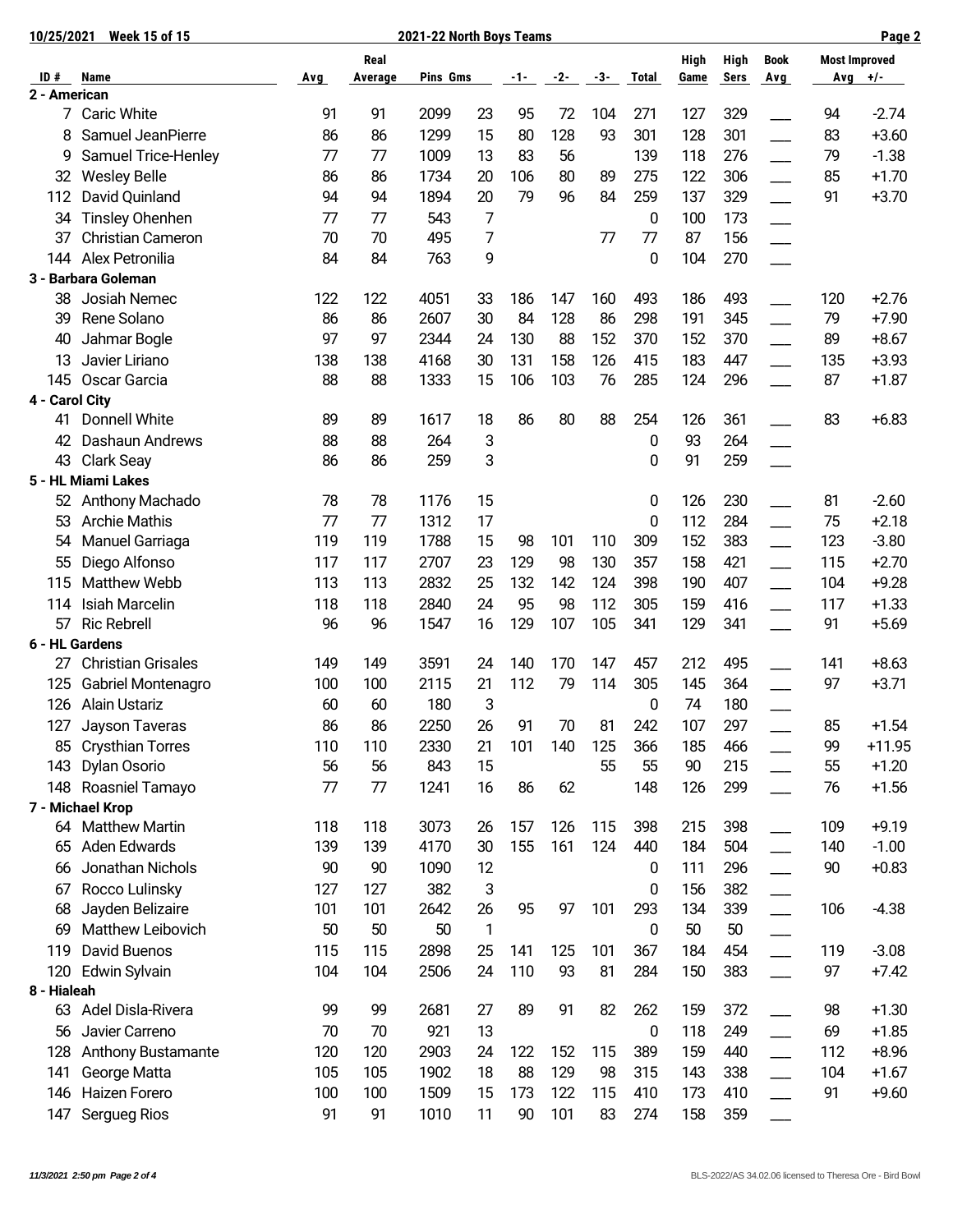| 10/25/2021     | <b>Week 15 of 15</b>      | 2021-22 North Boys Teams |                 |          |              |       |       |     |              |              |              |                           |     | Page 2                            |
|----------------|---------------------------|--------------------------|-----------------|----------|--------------|-------|-------|-----|--------------|--------------|--------------|---------------------------|-----|-----------------------------------|
| ID#            | Name                      | Avg                      | Real<br>Average | Pins Gms |              | $-1-$ | $-2-$ | -3- | <b>Total</b> | High<br>Game | High<br>Sers | <b>Book</b><br><b>Avg</b> |     | <b>Most Improved</b><br>Avg $+/-$ |
| 2 - American   |                           |                          |                 |          |              |       |       |     |              |              |              |                           |     |                                   |
| 7              | <b>Caric White</b>        | 91                       | 91              | 2099     | 23           | 95    | 72    | 104 | 271          | 127          | 329          |                           | 94  | $-2.74$                           |
| 8              | Samuel JeanPierre         | 86                       | 86              | 1299     | 15           | 80    | 128   | 93  | 301          | 128          | 301          |                           | 83  | $+3.60$                           |
| 9              | Samuel Trice-Henley       | 77                       | 77              | 1009     | 13           | 83    | 56    |     | 139          | 118          | 276          |                           | 79  | $-1.38$                           |
| 32             | <b>Wesley Belle</b>       | 86                       | 86              | 1734     | 20           | 106   | 80    | 89  | 275          | 122          | 306          |                           | 85  | $+1.70$                           |
| 112            | David Quinland            | 94                       | 94              | 1894     | 20           | 79    | 96    | 84  | 259          | 137          | 329          |                           | 91  | $+3.70$                           |
| 34             | <b>Tinsley Ohenhen</b>    | 77                       | 77              | 543      | 7            |       |       |     | 0            | 100          | 173          |                           |     |                                   |
| 37             | Christian Cameron         | 70                       | 70              | 495      | 7            |       |       | 77  | 77           | 87           | 156          |                           |     |                                   |
| 144            | Alex Petronilia           | 84                       | 84              | 763      | 9            |       |       |     | 0            | 104          | 270          |                           |     |                                   |
|                | 3 - Barbara Goleman       |                          |                 |          |              |       |       |     |              |              |              |                           |     |                                   |
| 38             | Josiah Nemec              | 122                      | 122             | 4051     | 33           | 186   | 147   | 160 | 493          | 186          | 493          |                           | 120 | $+2.76$                           |
| 39             | Rene Solano               | 86                       | 86              | 2607     | 30           | 84    | 128   | 86  | 298          | 191          | 345          |                           | 79  | $+7.90$                           |
| 40             | Jahmar Bogle              | 97                       | 97              | 2344     | 24           | 130   | 88    | 152 | 370          | 152          | 370          |                           | 89  | $+8.67$                           |
| 13             | Javier Liriano            | 138                      | 138             | 4168     | 30           | 131   | 158   | 126 | 415          | 183          | 447          |                           | 135 | $+3.93$                           |
| 145            | Oscar Garcia              | 88                       | 88              | 1333     | 15           | 106   | 103   | 76  | 285          | 124          | 296          |                           | 87  | $+1.87$                           |
| 4 - Carol City |                           |                          |                 |          |              |       |       |     |              |              |              |                           |     |                                   |
| 41             | Donnell White             | 89                       | 89              | 1617     | 18           | 86    | 80    | 88  | 254          | 126          | 361          |                           | 83  | $+6.83$                           |
| 42             | Dashaun Andrews           | 88                       | 88              | 264      | 3            |       |       |     | 0            | 93           | 264          |                           |     |                                   |
| 43             | Clark Seay                | 86                       | 86              | 259      | 3            |       |       |     | 0            | 91           | 259          |                           |     |                                   |
|                | 5 - HL Miami Lakes        |                          |                 |          |              |       |       |     |              |              |              |                           |     |                                   |
| 52             | Anthony Machado           | 78                       | 78              | 1176     | 15           |       |       |     | 0            | 126          | 230          |                           | 81  | $-2.60$                           |
| 53             | <b>Archie Mathis</b>      | 77                       | 77              | 1312     | 17           |       |       |     | 0            | 112          | 284          |                           | 75  | $+2.18$                           |
| 54             | Manuel Garriaga           | 119                      | 119             | 1788     | 15           | 98    | 101   | 110 | 309          | 152          | 383          |                           | 123 | $-3.80$                           |
| 55             | Diego Alfonso             | 117                      | 117             | 2707     | 23           | 129   | 98    | 130 | 357          | 158          | 421          |                           | 115 | $+2.70$                           |
| 115            | Matthew Webb              | 113                      | 113             | 2832     | 25           | 132   | 142   | 124 | 398          | 190          | 407          |                           | 104 | $+9.28$                           |
| 114            | Isiah Marcelin            | 118                      | 118             | 2840     | 24           | 95    | 98    | 112 | 305          | 159          | 416          |                           | 117 | $+1.33$                           |
| 57             | <b>Ric Rebrell</b>        | 96                       | 96              | 1547     | 16           | 129   | 107   | 105 | 341          | 129          | 341          |                           | 91  | $+5.69$                           |
|                | 6 - HL Gardens            |                          |                 |          |              |       |       |     |              |              |              |                           |     |                                   |
| 27             | <b>Christian Grisales</b> | 149                      | 149             | 3591     | 24           | 140   | 170   | 147 | 457          | 212          | 495          |                           | 141 | $+8.63$                           |
| 125            | Gabriel Montenagro        | 100                      | 100             | 2115     | 21           | 112   | 79    | 114 | 305          | 145          | 364          |                           | 97  | $+3.71$                           |
| 126            | <b>Alain Ustariz</b>      | 60                       | 60              | 180      | 3            |       |       |     | 0            | 74           | 180          |                           |     |                                   |
| 127            | Jayson Taveras            | 86                       | 86              | 2250     | 26           | 91    | 70    | 81  | 242          | 107          | 297          |                           | 85  | $+1.54$                           |
| 85             | <b>Crysthian Torres</b>   | 110                      | 110             | 2330     | 21           | 101   | 140   | 125 | 366          | 185          | 466          |                           | 99  | $+11.95$                          |
| 143            | Dylan Osorio              | 56                       | 56              | 843      | 15           |       |       | 55  | 55           | 90           | 215          |                           | 55  | $+1.20$                           |
| 148            | Roasniel Tamayo           | 77                       | 77              | 1241     | 16           | 86    | 62    |     | 148          | 126          | 299          |                           | 76  | $+1.56$                           |
|                | 7 - Michael Krop          |                          |                 |          |              |       |       |     |              |              |              |                           |     |                                   |
| 64             | <b>Matthew Martin</b>     | 118                      | 118             | 3073     | 26           | 157   | 126   | 115 | 398          | 215          | 398          |                           | 109 | $+9.19$                           |
| 65             | Aden Edwards              | 139                      | 139             | 4170     | 30           | 155   | 161   | 124 | 440          | 184          | 504          |                           | 140 | $-1.00$                           |
| 66             | Jonathan Nichols          | 90                       | 90              | 1090     | 12           |       |       |     | 0            | 111          | 296          |                           | 90  | $+0.83$                           |
| 67             | Rocco Lulinsky            | 127                      | 127             | 382      | 3            |       |       |     | 0            | 156          | 382          |                           |     |                                   |
| 68             | Jayden Belizaire          | 101                      | 101             | 2642     | 26           | 95    | 97    | 101 | 293          | 134          | 339          | $\overline{\phantom{a}}$  | 106 | $-4.38$                           |
| 69             | Matthew Leibovich         | 50                       | 50              | 50       | $\mathbf{1}$ |       |       |     | 0            | 50           | 50           |                           |     |                                   |
| 119            | David Buenos              | 115                      | 115             | 2898     | 25           | 141   | 125   | 101 | 367          | 184          | 454          |                           | 119 | $-3.08$                           |
| 120            | Edwin Sylvain             | 104                      | 104             | 2506     | 24           | 110   | 93    | 81  | 284          | 150          | 383          |                           | 97  | $+7.42$                           |
| 8 - Hialeah    |                           |                          |                 |          |              |       |       |     |              |              |              |                           |     |                                   |
| 63             | Adel Disla-Rivera         | 99                       | 99              | 2681     | 27           | 89    | 91    | 82  | 262          | 159          | 372          |                           | 98  | $+1.30$                           |
| 56             | Javier Carreno            | 70                       | 70              | 921      | 13           |       |       |     | 0            | 118          | 249          |                           | 69  | $+1.85$                           |
| 128            | <b>Anthony Bustamante</b> | 120                      | 120             | 2903     | 24           | 122   | 152   | 115 | 389          | 159          | 440          |                           | 112 | $+8.96$                           |
| 141            | George Matta              | 105                      | 105             | 1902     | 18           | 88    | 129   | 98  | 315          | 143          | 338          |                           | 104 | $+1.67$                           |
| 146            | Haizen Forero             | 100                      | 100             | 1509     | 15           | 173   | 122   | 115 | 410          | 173          | 410          |                           | 91  | $+9.60$                           |
| 147            | Sergueg Rios              | 91                       | 91              | 1010     | 11           | 90    | 101   | 83  | 274          | 158          | 359          |                           |     |                                   |
|                |                           |                          |                 |          |              |       |       |     |              |              |              |                           |     |                                   |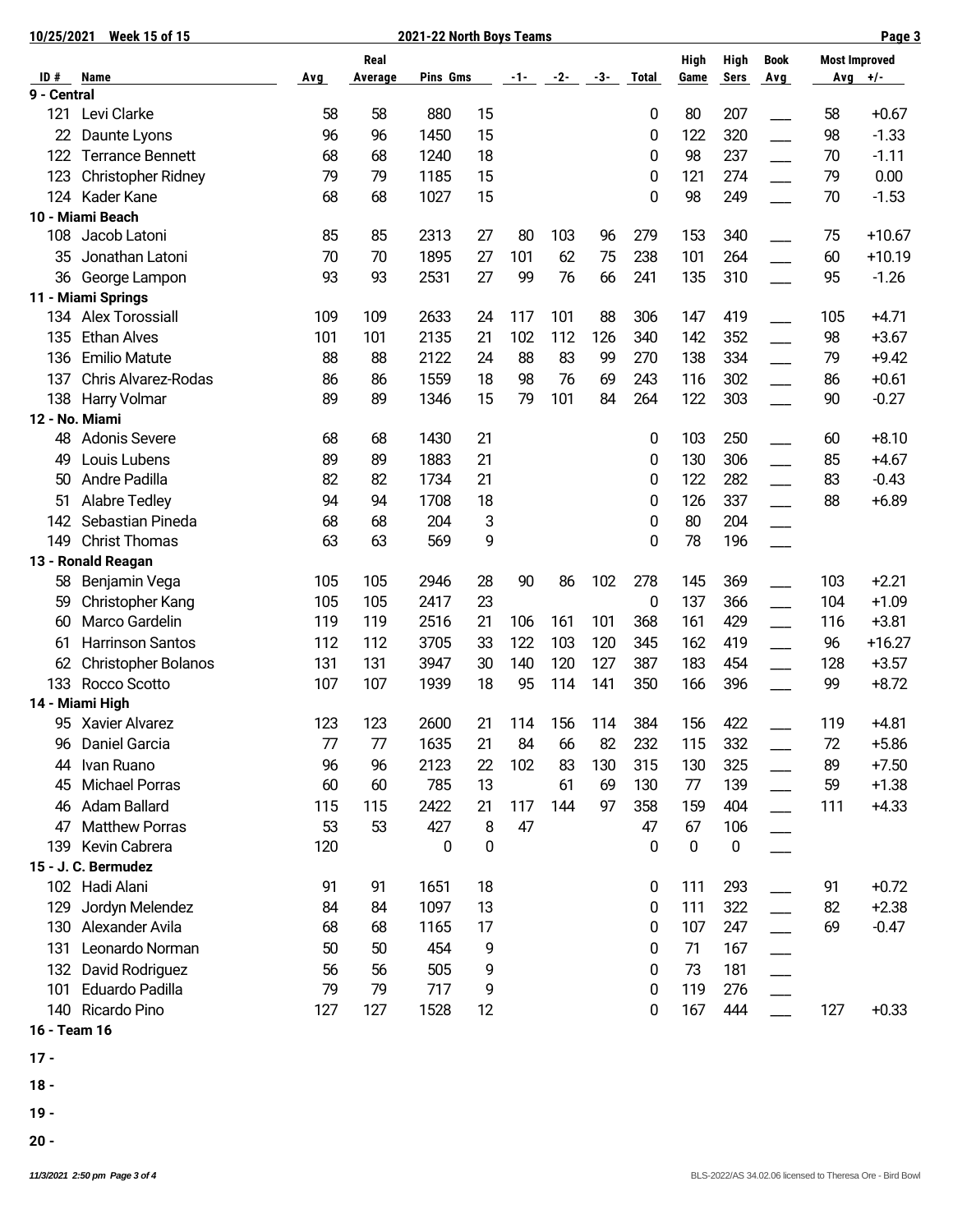| 10/25/2021  | <b>Week 15 of 15</b>               | 2021-22 North Boys Teams |         |          |    |       |         |     |              |      |             |                          | Page 3               |           |
|-------------|------------------------------------|--------------------------|---------|----------|----|-------|---------|-----|--------------|------|-------------|--------------------------|----------------------|-----------|
|             |                                    |                          | Real    |          |    |       |         |     |              | High | <b>High</b> | <b>Book</b>              | <b>Most Improved</b> |           |
| ID#         | Name                               | Avg                      | Average | Pins Gms |    | $-1-$ | -2-     | -3- | <b>Total</b> | Game | <b>Sers</b> | Avg                      |                      | $Avg$ +/- |
| 9 - Central |                                    |                          |         |          |    |       |         |     |              |      |             |                          |                      |           |
| 121         | Levi Clarke                        | 58                       | 58      | 880      | 15 |       |         |     | 0            | 80   | 207         |                          | 58                   | $+0.67$   |
| 22          | Daunte Lyons                       | 96                       | 96      | 1450     | 15 |       |         |     | 0            | 122  | 320         |                          | 98                   | $-1.33$   |
| 122         | <b>Terrance Bennett</b>            | 68                       | 68      | 1240     | 18 |       |         |     | 0            | 98   | 237         |                          | 70                   | $-1.11$   |
| 123         | <b>Christopher Ridney</b>          | 79                       | 79      | 1185     | 15 |       |         |     | 0            | 121  | 274         |                          | 79                   | 0.00      |
| 124         | Kader Kane                         | 68                       | 68      | 1027     | 15 |       |         |     | 0            | 98   | 249         |                          | 70                   | $-1.53$   |
|             | 10 - Miami Beach                   |                          |         |          |    |       |         |     |              |      |             |                          |                      |           |
| 108         | Jacob Latoni                       | 85                       | 85      | 2313     | 27 | 80    | 103     | 96  | 279          | 153  | 340         |                          | 75                   | $+10.67$  |
| 35          | Jonathan Latoni                    | 70                       | 70      | 1895     | 27 | 101   | 62      | 75  | 238          | 101  | 264         |                          | 60                   | $+10.19$  |
| 36          | George Lampon                      | 93                       | 93      | 2531     | 27 | 99    | 76      | 66  | 241          | 135  | 310         |                          | 95                   | $-1.26$   |
|             | 11 - Miami Springs                 |                          |         |          |    |       |         |     |              |      |             |                          |                      |           |
| 134         | <b>Alex Torossiall</b>             | 109                      | 109     | 2633     | 24 | 117   | 101     | 88  | 306          | 147  | 419         |                          | 105                  | $+4.71$   |
| 135         | <b>Ethan Alves</b>                 | 101                      | 101     | 2135     | 21 | 102   | 112     | 126 | 340          | 142  | 352         |                          | 98                   | $+3.67$   |
| 136         | <b>Emilio Matute</b>               | 88                       | 88      | 2122     | 24 | 88    | 83      | 99  | 270          | 138  | 334         |                          | 79                   | $+9.42$   |
| 137         | Chris Alvarez-Rodas                | 86                       | 86      | 1559     | 18 | 98    | 76      | 69  | 243          | 116  | 302         |                          | 86                   | $+0.61$   |
| 138         | Harry Volmar                       | 89                       | 89      | 1346     | 15 | 79    | 101     | 84  | 264          | 122  | 303         |                          | 90                   | $-0.27$   |
|             | 12 - No. Miami                     |                          |         |          |    |       |         |     |              |      |             |                          |                      |           |
| 48          | <b>Adonis Severe</b>               | 68                       | 68      | 1430     | 21 |       |         |     | 0            | 103  | 250         |                          | 60                   | $+8.10$   |
| 49          | Louis Lubens                       | 89                       | 89      | 1883     | 21 |       |         |     | 0            | 130  | 306         | $\overline{\phantom{0}}$ | 85                   | $+4.67$   |
| 50          | Andre Padilla                      | 82                       | 82      | 1734     | 21 |       |         |     | 0            | 122  | 282         |                          | 83                   | $-0.43$   |
| 51          | <b>Alabre Tedley</b>               | 94                       | 94      | 1708     | 18 |       |         |     | 0            | 126  | 337         |                          | 88                   | $+6.89$   |
| 142         | Sebastian Pineda                   | 68                       | 68      | 204      | 3  |       |         |     | 0            | 80   | 204         |                          |                      |           |
| 149         | <b>Christ Thomas</b>               | 63                       | 63      | 569      | 9  |       |         |     | 0            | 78   | 196         |                          |                      |           |
|             | 13 - Ronald Reagan                 |                          |         |          |    |       |         |     |              |      |             |                          |                      |           |
| 58          | Benjamin Vega                      | 105                      | 105     | 2946     | 28 | 90    | 86      | 102 | 278          | 145  | 369         |                          | 103                  | $+2.21$   |
| 59          | Christopher Kang                   | 105                      | 105     | 2417     | 23 |       |         |     | 0            | 137  | 366         |                          | 104                  | $+1.09$   |
| 60          | Marco Gardelin                     | 119                      | 119     | 2516     | 21 | 106   | 161     | 101 | 368          | 161  | 429         |                          | 116                  | $+3.81$   |
| 61          | <b>Harrinson Santos</b>            | 112                      | 112     | 3705     | 33 | 122   | 103     | 120 | 345          | 162  | 419         |                          | 96                   | $+16.27$  |
| 62          | <b>Christopher Bolanos</b>         | 131                      | 131     | 3947     | 30 | 140   | 120     | 127 | 387          | 183  | 454         |                          | 128                  | $+3.57$   |
| 133         | Rocco Scotto                       | 107                      | 107     | 1939     | 18 | 95    | 114     | 141 | 350          | 166  | 396         |                          | 99                   | $+8.72$   |
|             | 14 - Miami High                    |                          |         |          |    |       |         |     |              |      |             |                          |                      |           |
|             | 95 Xavier Alvarez                  | 123                      | 123     | 2600     | 21 |       | 114 156 | 114 | 384          | 156  | 422         |                          | 119                  | $+4.81$   |
| 96          | Daniel Garcia                      | 77                       | 77      | 1635     | 21 | 84    | 66      | 82  | 232          | 115  | 332         |                          | 72                   | $+5.86$   |
| 44          | Ivan Ruano                         | 96                       | 96      | 2123     | 22 | 102   | 83      | 130 | 315          | 130  | 325         |                          | 89                   | $+7.50$   |
| 45          | <b>Michael Porras</b>              | 60                       | 60      | 785      | 13 |       | 61      | 69  | 130          | 77   | 139         |                          | 59                   | $+1.38$   |
| 46          | Adam Ballard                       | 115                      | 115     | 2422     | 21 | 117   | 144     | 97  | 358          | 159  | 404         |                          | 111                  | $+4.33$   |
| 47          | <b>Matthew Porras</b>              | 53                       | 53      | 427      | 8  | 47    |         |     | 47           | 67   | 106         |                          |                      |           |
| 139         | Kevin Cabrera                      | 120                      |         | 0        | 0  |       |         |     | 0            | 0    | 0           |                          |                      |           |
|             | 15 - J. C. Bermudez                |                          |         |          |    |       |         |     |              |      |             |                          |                      |           |
| 102         | Hadi Alani                         | 91                       | 91      | 1651     | 18 |       |         |     | 0            | 111  | 293         |                          | 91                   | $+0.72$   |
| 129         | Jordyn Melendez                    | 84                       | 84      | 1097     | 13 |       |         |     | 0            | 111  | 322         |                          | 82                   | $+2.38$   |
| 130         | Alexander Avila                    | 68                       | 68      | 1165     | 17 |       |         |     | 0            | 107  | 247         |                          | 69                   | $-0.47$   |
| 131         | Leonardo Norman                    | 50                       | 50      | 454      | 9  |       |         |     | 0            | 71   | 167         |                          |                      |           |
|             |                                    | 56                       | 56      | 505      |    |       |         |     |              | 73   |             |                          |                      |           |
| 132         | David Rodriguez<br>Eduardo Padilla | 79                       |         |          | 9  |       |         |     | 0            | 119  | 181         |                          |                      |           |
| 101         |                                    |                          | 79      | 717      | 9  |       |         |     | 0            |      | 276         |                          |                      |           |
| 140         | Ricardo Pino                       | 127                      | 127     | 1528     | 12 |       |         |     | 0            | 167  | 444         |                          | 127                  | $+0.33$   |

- **16 Team 16**
- **17**
- **18**
- **19**
- **20**